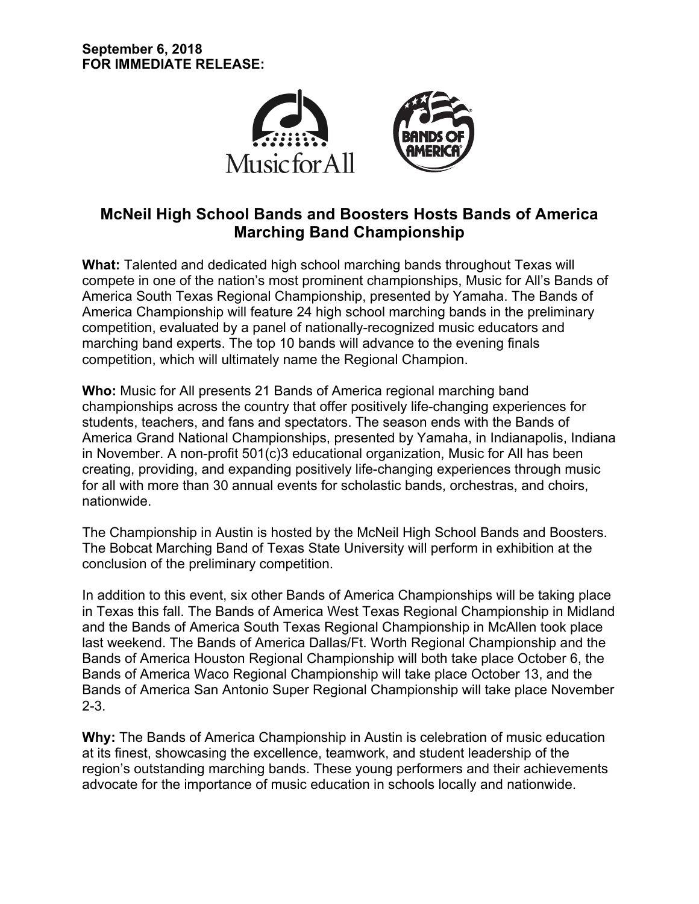

# **McNeil High School Bands and Boosters Hosts Bands of America Marching Band Championship**

**What:** Talented and dedicated high school marching bands throughout Texas will compete in one of the nation's most prominent championships, Music for All's Bands of America South Texas Regional Championship, presented by Yamaha. The Bands of America Championship will feature 24 high school marching bands in the preliminary competition, evaluated by a panel of nationally-recognized music educators and marching band experts. The top 10 bands will advance to the evening finals competition, which will ultimately name the Regional Champion.

**Who:** Music for All presents 21 Bands of America regional marching band championships across the country that offer positively life-changing experiences for students, teachers, and fans and spectators. The season ends with the Bands of America Grand National Championships, presented by Yamaha, in Indianapolis, Indiana in November. A non-profit 501(c)3 educational organization, Music for All has been creating, providing, and expanding positively life-changing experiences through music for all with more than 30 annual events for scholastic bands, orchestras, and choirs, nationwide.

The Championship in Austin is hosted by the McNeil High School Bands and Boosters. The Bobcat Marching Band of Texas State University will perform in exhibition at the conclusion of the preliminary competition.

In addition to this event, six other Bands of America Championships will be taking place in Texas this fall. The Bands of America West Texas Regional Championship in Midland and the Bands of America South Texas Regional Championship in McAllen took place last weekend. The Bands of America Dallas/Ft. Worth Regional Championship and the Bands of America Houston Regional Championship will both take place October 6, the Bands of America Waco Regional Championship will take place October 13, and the Bands of America San Antonio Super Regional Championship will take place November 2-3.

**Why:** The Bands of America Championship in Austin is celebration of music education at its finest, showcasing the excellence, teamwork, and student leadership of the region's outstanding marching bands. These young performers and their achievements advocate for the importance of music education in schools locally and nationwide.